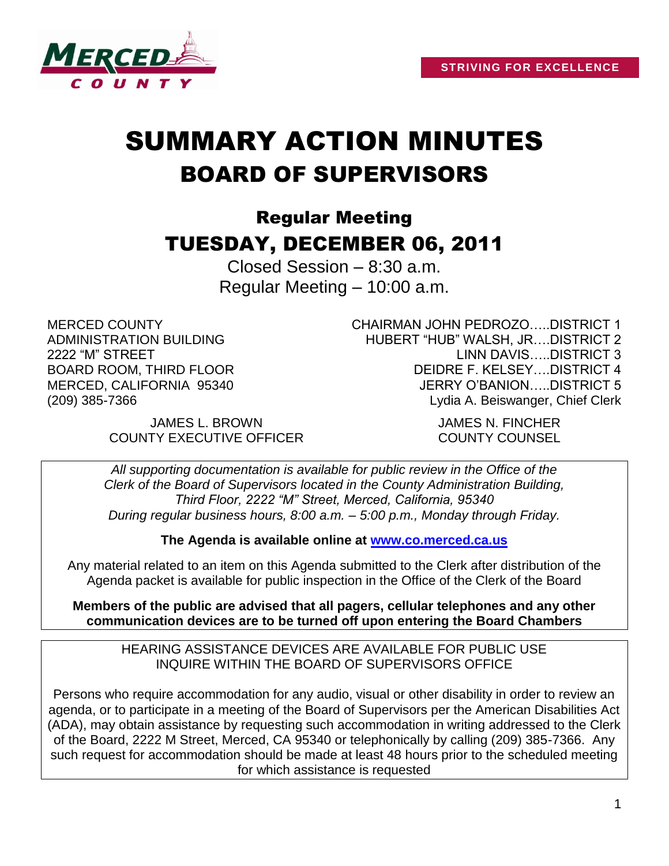

# SUMMARY ACTION MINUTES BOARD OF SUPERVISORS

# Regular Meeting TUESDAY, DECEMBER 06, 2011

Closed Session – 8:30 a.m. Regular Meeting – 10:00 a.m.

MERCED COUNTY ADMINISTRATION BUILDING 2222 "M" STREET BOARD ROOM, THIRD FLOOR MERCED, CALIFORNIA 95340 (209) 385-7366

CHAIRMAN JOHN PEDROZO…..DISTRICT 1 HUBERT "HUB" WALSH, JR….DISTRICT 2 LINN DAVIS…..DISTRICT 3 DEIDRE F. KELSEY….DISTRICT 4 JERRY O'BANION…..DISTRICT 5 Lydia A. Beiswanger, Chief Clerk

JAMES L. BROWN JAMES N. FINCHER COUNTY EXECUTIVE OFFICER COUNTY COUNSEL

*All supporting documentation is available for public review in the Office of the Clerk of the Board of Supervisors located in the County Administration Building, Third Floor, 2222 "M" Street, Merced, California, 95340 During regular business hours, 8:00 a.m. – 5:00 p.m., Monday through Friday.*

**The Agenda is available online at [www.co.merced.ca.us](http://www.co.merced.ca.us/)**

Any material related to an item on this Agenda submitted to the Clerk after distribution of the Agenda packet is available for public inspection in the Office of the Clerk of the Board

**Members of the public are advised that all pagers, cellular telephones and any other communication devices are to be turned off upon entering the Board Chambers**

HEARING ASSISTANCE DEVICES ARE AVAILABLE FOR PUBLIC USE INQUIRE WITHIN THE BOARD OF SUPERVISORS OFFICE

Persons who require accommodation for any audio, visual or other disability in order to review an agenda, or to participate in a meeting of the Board of Supervisors per the American Disabilities Act (ADA), may obtain assistance by requesting such accommodation in writing addressed to the Clerk of the Board, 2222 M Street, Merced, CA 95340 or telephonically by calling (209) 385-7366. Any such request for accommodation should be made at least 48 hours prior to the scheduled meeting for which assistance is requested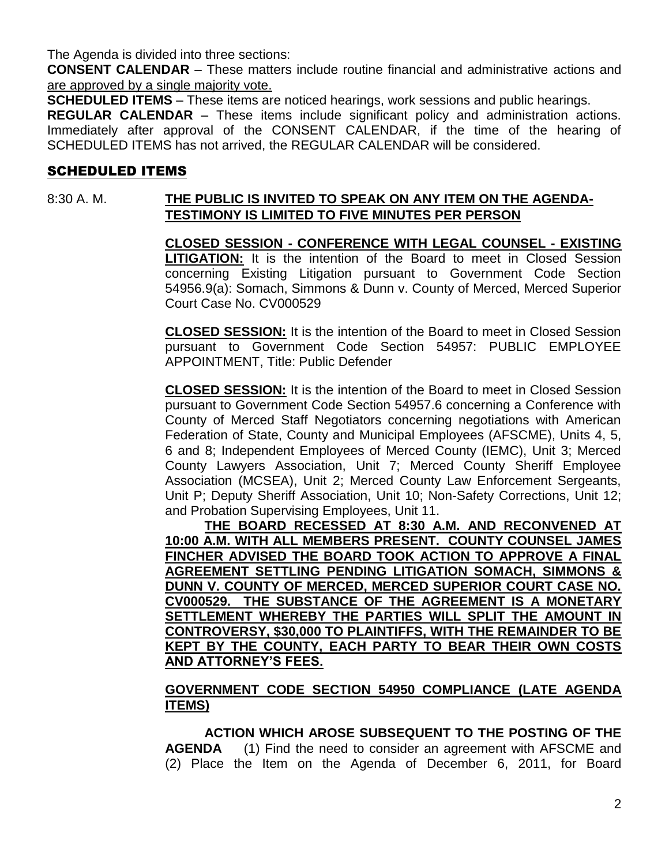The Agenda is divided into three sections:

**CONSENT CALENDAR** – These matters include routine financial and administrative actions and are approved by a single majority vote.

**SCHEDULED ITEMS** – These items are noticed hearings, work sessions and public hearings.

**REGULAR CALENDAR** – These items include significant policy and administration actions. Immediately after approval of the CONSENT CALENDAR, if the time of the hearing of SCHEDULED ITEMS has not arrived, the REGULAR CALENDAR will be considered.

# SCHEDULED ITEMS

### 8:30 A. M. **THE PUBLIC IS INVITED TO SPEAK ON ANY ITEM ON THE AGENDA-TESTIMONY IS LIMITED TO FIVE MINUTES PER PERSON**

**CLOSED SESSION - CONFERENCE WITH LEGAL COUNSEL - EXISTING LITIGATION:** It is the intention of the Board to meet in Closed Session concerning Existing Litigation pursuant to Government Code Section 54956.9(a): Somach, Simmons & Dunn v. County of Merced, Merced Superior Court Case No. CV000529

**CLOSED SESSION:** It is the intention of the Board to meet in Closed Session pursuant to Government Code Section 54957: PUBLIC EMPLOYEE APPOINTMENT, Title: Public Defender

**CLOSED SESSION:** It is the intention of the Board to meet in Closed Session pursuant to Government Code Section 54957.6 concerning a Conference with County of Merced Staff Negotiators concerning negotiations with American Federation of State, County and Municipal Employees (AFSCME), Units 4, 5, 6 and 8; Independent Employees of Merced County (IEMC), Unit 3; Merced County Lawyers Association, Unit 7; Merced County Sheriff Employee Association (MCSEA), Unit 2; Merced County Law Enforcement Sergeants, Unit P; Deputy Sheriff Association, Unit 10; Non-Safety Corrections, Unit 12; and Probation Supervising Employees, Unit 11.

**THE BOARD RECESSED AT 8:30 A.M. AND RECONVENED AT 10:00 A.M. WITH ALL MEMBERS PRESENT. COUNTY COUNSEL JAMES FINCHER ADVISED THE BOARD TOOK ACTION TO APPROVE A FINAL AGREEMENT SETTLING PENDING LITIGATION SOMACH, SIMMONS & DUNN V. COUNTY OF MERCED, MERCED SUPERIOR COURT CASE NO. CV000529. THE SUBSTANCE OF THE AGREEMENT IS A MONETARY SETTLEMENT WHEREBY THE PARTIES WILL SPLIT THE AMOUNT IN CONTROVERSY, \$30,000 TO PLAINTIFFS, WITH THE REMAINDER TO BE KEPT BY THE COUNTY, EACH PARTY TO BEAR THEIR OWN COSTS AND ATTORNEY'S FEES.**

### **GOVERNMENT CODE SECTION 54950 COMPLIANCE (LATE AGENDA ITEMS)**

**ACTION WHICH AROSE SUBSEQUENT TO THE POSTING OF THE AGENDA** (1) Find the need to consider an agreement with AFSCME and (2) Place the Item on the Agenda of December 6, 2011, for Board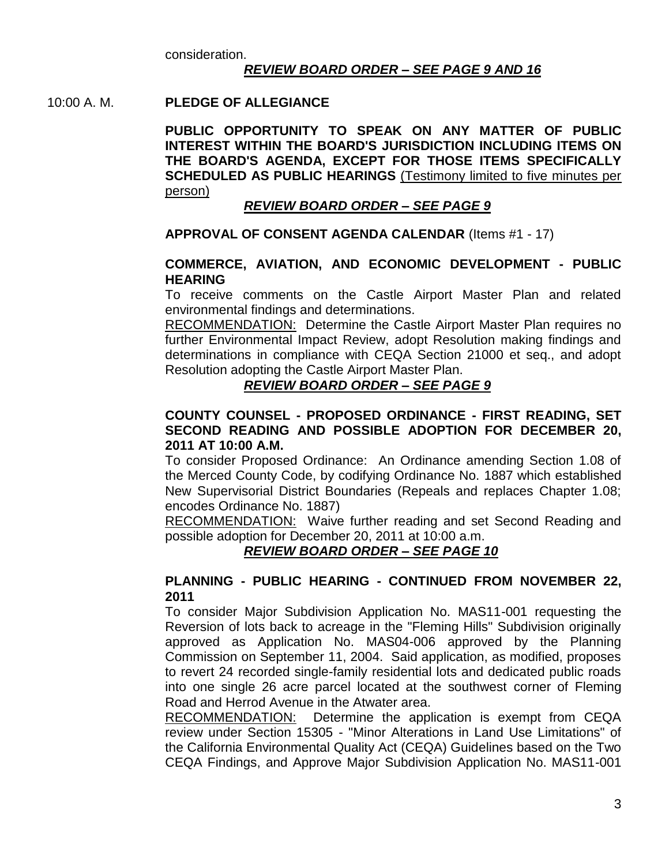consideration.

#### *REVIEW BOARD ORDER – SEE PAGE 9 AND 16*

#### 10:00 A. M. **PLEDGE OF ALLEGIANCE**

**PUBLIC OPPORTUNITY TO SPEAK ON ANY MATTER OF PUBLIC INTEREST WITHIN THE BOARD'S JURISDICTION INCLUDING ITEMS ON THE BOARD'S AGENDA, EXCEPT FOR THOSE ITEMS SPECIFICALLY SCHEDULED AS PUBLIC HEARINGS** (Testimony limited to five minutes per person)

#### *REVIEW BOARD ORDER – SEE PAGE 9*

#### **APPROVAL OF CONSENT AGENDA CALENDAR** (Items #1 - 17)

#### **COMMERCE, AVIATION, AND ECONOMIC DEVELOPMENT - PUBLIC HEARING**

To receive comments on the Castle Airport Master Plan and related environmental findings and determinations.

RECOMMENDATION: Determine the Castle Airport Master Plan requires no further Environmental Impact Review, adopt Resolution making findings and determinations in compliance with CEQA Section 21000 et seq., and adopt Resolution adopting the Castle Airport Master Plan.

#### *REVIEW BOARD ORDER – SEE PAGE 9*

#### **COUNTY COUNSEL - PROPOSED ORDINANCE - FIRST READING, SET SECOND READING AND POSSIBLE ADOPTION FOR DECEMBER 20, 2011 AT 10:00 A.M.**

To consider Proposed Ordinance: An Ordinance amending Section 1.08 of the Merced County Code, by codifying Ordinance No. 1887 which established New Supervisorial District Boundaries (Repeals and replaces Chapter 1.08; encodes Ordinance No. 1887)

RECOMMENDATION: Waive further reading and set Second Reading and possible adoption for December 20, 2011 at 10:00 a.m.

#### *REVIEW BOARD ORDER – SEE PAGE 10*

#### **PLANNING - PUBLIC HEARING - CONTINUED FROM NOVEMBER 22, 2011**

To consider Major Subdivision Application No. MAS11-001 requesting the Reversion of lots back to acreage in the "Fleming Hills" Subdivision originally approved as Application No. MAS04-006 approved by the Planning Commission on September 11, 2004. Said application, as modified, proposes to revert 24 recorded single-family residential lots and dedicated public roads into one single 26 acre parcel located at the southwest corner of Fleming Road and Herrod Avenue in the Atwater area.

RECOMMENDATION: Determine the application is exempt from CEQA review under Section 15305 - "Minor Alterations in Land Use Limitations" of the California Environmental Quality Act (CEQA) Guidelines based on the Two CEQA Findings, and Approve Major Subdivision Application No. MAS11-001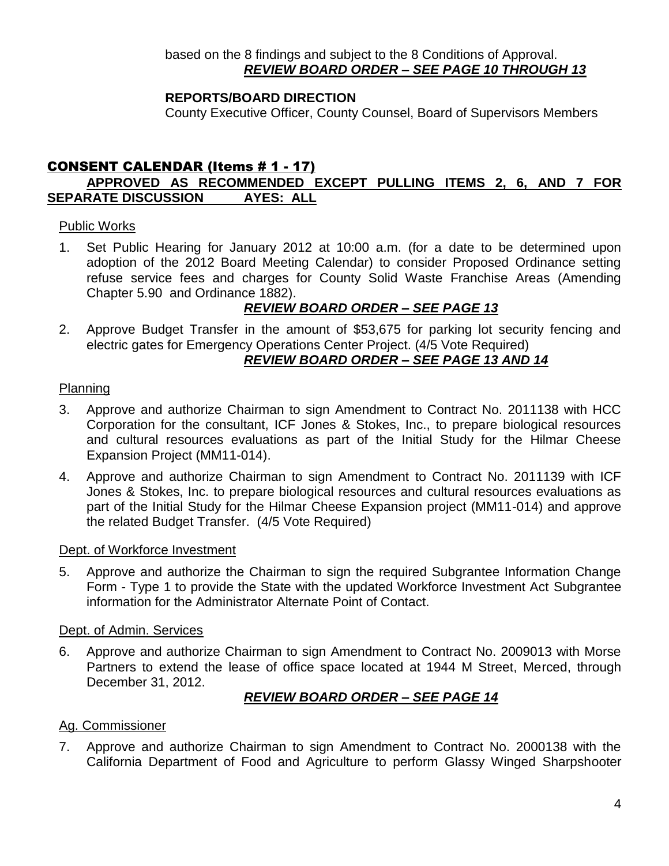# **REPORTS/BOARD DIRECTION**

County Executive Officer, County Counsel, Board of Supervisors Members

# CONSENT CALENDAR (Items # 1 - 17)

# **APPROVED AS RECOMMENDED EXCEPT PULLING ITEMS 2, 6, AND 7 FOR SEPARATE DISCUSSION AYES: ALL**

#### Public Works

1. Set Public Hearing for January 2012 at 10:00 a.m. (for a date to be determined upon adoption of the 2012 Board Meeting Calendar) to consider Proposed Ordinance setting refuse service fees and charges for County Solid Waste Franchise Areas (Amending Chapter 5.90 and Ordinance 1882).

# *REVIEW BOARD ORDER – SEE PAGE 13*

2. Approve Budget Transfer in the amount of \$53,675 for parking lot security fencing and electric gates for Emergency Operations Center Project. (4/5 Vote Required) *REVIEW BOARD ORDER – SEE PAGE 13 AND 14*

#### Planning

- 3. Approve and authorize Chairman to sign Amendment to Contract No. 2011138 with HCC Corporation for the consultant, ICF Jones & Stokes, Inc., to prepare biological resources and cultural resources evaluations as part of the Initial Study for the Hilmar Cheese Expansion Project (MM11-014).
- 4. Approve and authorize Chairman to sign Amendment to Contract No. 2011139 with ICF Jones & Stokes, Inc. to prepare biological resources and cultural resources evaluations as part of the Initial Study for the Hilmar Cheese Expansion project (MM11-014) and approve the related Budget Transfer. (4/5 Vote Required)

#### Dept. of Workforce Investment

5. Approve and authorize the Chairman to sign the required Subgrantee Information Change Form - Type 1 to provide the State with the updated Workforce Investment Act Subgrantee information for the Administrator Alternate Point of Contact.

#### Dept. of Admin. Services

6. Approve and authorize Chairman to sign Amendment to Contract No. 2009013 with Morse Partners to extend the lease of office space located at 1944 M Street, Merced, through December 31, 2012.

# *REVIEW BOARD ORDER – SEE PAGE 14*

#### Ag. Commissioner

7. Approve and authorize Chairman to sign Amendment to Contract No. 2000138 with the California Department of Food and Agriculture to perform Glassy Winged Sharpshooter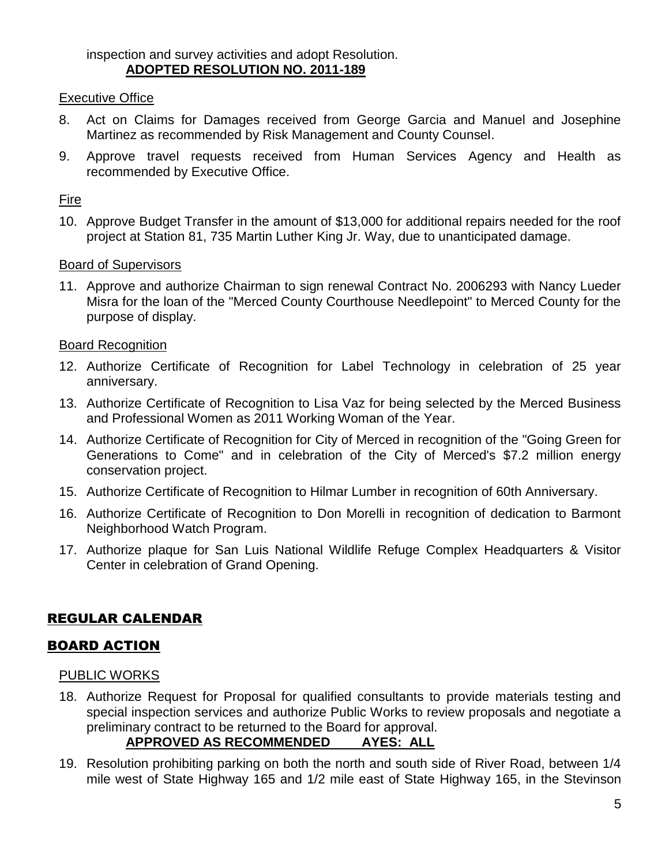inspection and survey activities and adopt Resolution. **ADOPTED RESOLUTION NO. 2011-189**

#### Executive Office

- 8. Act on Claims for Damages received from George Garcia and Manuel and Josephine Martinez as recommended by Risk Management and County Counsel.
- 9. Approve travel requests received from Human Services Agency and Health as recommended by Executive Office.

#### Fire

10. Approve Budget Transfer in the amount of \$13,000 for additional repairs needed for the roof project at Station 81, 735 Martin Luther King Jr. Way, due to unanticipated damage.

#### Board of Supervisors

11. Approve and authorize Chairman to sign renewal Contract No. 2006293 with Nancy Lueder Misra for the loan of the "Merced County Courthouse Needlepoint" to Merced County for the purpose of display.

#### Board Recognition

- 12. Authorize Certificate of Recognition for Label Technology in celebration of 25 year anniversary.
- 13. Authorize Certificate of Recognition to Lisa Vaz for being selected by the Merced Business and Professional Women as 2011 Working Woman of the Year.
- 14. Authorize Certificate of Recognition for City of Merced in recognition of the "Going Green for Generations to Come" and in celebration of the City of Merced's \$7.2 million energy conservation project.
- 15. Authorize Certificate of Recognition to Hilmar Lumber in recognition of 60th Anniversary.
- 16. Authorize Certificate of Recognition to Don Morelli in recognition of dedication to Barmont Neighborhood Watch Program.
- 17. Authorize plaque for San Luis National Wildlife Refuge Complex Headquarters & Visitor Center in celebration of Grand Opening.

# REGULAR CALENDAR

# BOARD ACTION

#### PUBLIC WORKS

18. Authorize Request for Proposal for qualified consultants to provide materials testing and special inspection services and authorize Public Works to review proposals and negotiate a preliminary contract to be returned to the Board for approval.

# **APPROVED AS RECOMMENDED AYES: ALL**

19. Resolution prohibiting parking on both the north and south side of River Road, between 1/4 mile west of State Highway 165 and 1/2 mile east of State Highway 165, in the Stevinson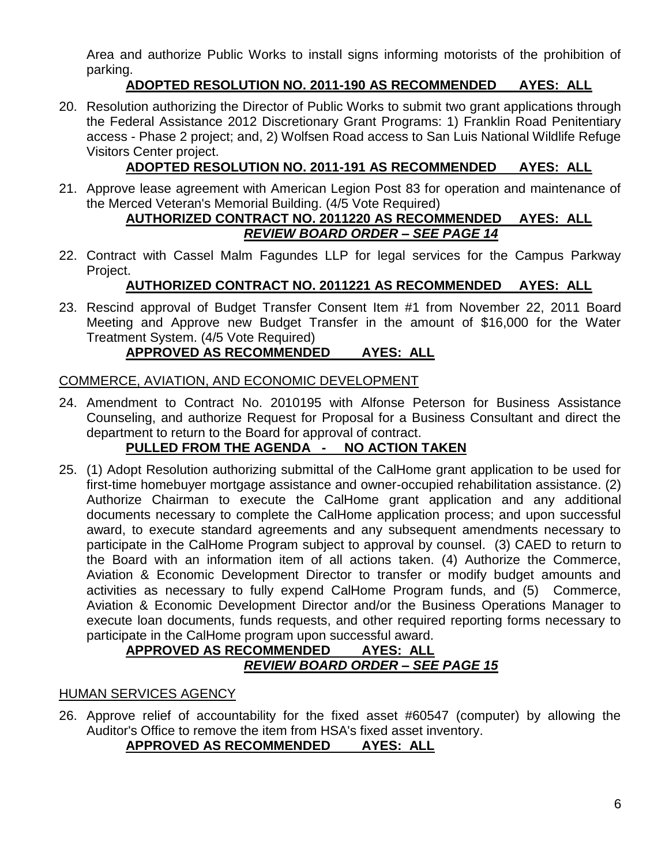Area and authorize Public Works to install signs informing motorists of the prohibition of parking.

# **ADOPTED RESOLUTION NO. 2011-190 AS RECOMMENDED AYES: ALL**

20. Resolution authorizing the Director of Public Works to submit two grant applications through the Federal Assistance 2012 Discretionary Grant Programs: 1) Franklin Road Penitentiary access - Phase 2 project; and, 2) Wolfsen Road access to San Luis National Wildlife Refuge Visitors Center project.

# **ADOPTED RESOLUTION NO. 2011-191 AS RECOMMENDED AYES: ALL**

21. Approve lease agreement with American Legion Post 83 for operation and maintenance of the Merced Veteran's Memorial Building. (4/5 Vote Required)

# **AUTHORIZED CONTRACT NO. 2011220 AS RECOMMENDED AYES: ALL** *REVIEW BOARD ORDER – SEE PAGE 14*

22. Contract with Cassel Malm Fagundes LLP for legal services for the Campus Parkway Project.

# **AUTHORIZED CONTRACT NO. 2011221 AS RECOMMENDED AYES: ALL**

23. Rescind approval of Budget Transfer Consent Item #1 from November 22, 2011 Board Meeting and Approve new Budget Transfer in the amount of \$16,000 for the Water Treatment System. (4/5 Vote Required)

# **APPROVED AS RECOMMENDED AYES: ALL**

# COMMERCE, AVIATION, AND ECONOMIC DEVELOPMENT

24. Amendment to Contract No. 2010195 with Alfonse Peterson for Business Assistance Counseling, and authorize Request for Proposal for a Business Consultant and direct the department to return to the Board for approval of contract.

# **PULLED FROM THE AGENDA - NO ACTION TAKEN**

25. (1) Adopt Resolution authorizing submittal of the CalHome grant application to be used for first-time homebuyer mortgage assistance and owner-occupied rehabilitation assistance. (2) Authorize Chairman to execute the CalHome grant application and any additional documents necessary to complete the CalHome application process; and upon successful award, to execute standard agreements and any subsequent amendments necessary to participate in the CalHome Program subject to approval by counsel. (3) CAED to return to the Board with an information item of all actions taken. (4) Authorize the Commerce, Aviation & Economic Development Director to transfer or modify budget amounts and activities as necessary to fully expend CalHome Program funds, and (5) Commerce, Aviation & Economic Development Director and/or the Business Operations Manager to execute loan documents, funds requests, and other required reporting forms necessary to participate in the CalHome program upon successful award.

# **APPROVED AS RECOMMENDED AYES: ALL** *REVIEW BOARD ORDER – SEE PAGE 15*

# HUMAN SERVICES AGENCY

26. Approve relief of accountability for the fixed asset #60547 (computer) by allowing the Auditor's Office to remove the item from HSA's fixed asset inventory.

# **APPROVED AS RECOMMENDED AYES: ALL**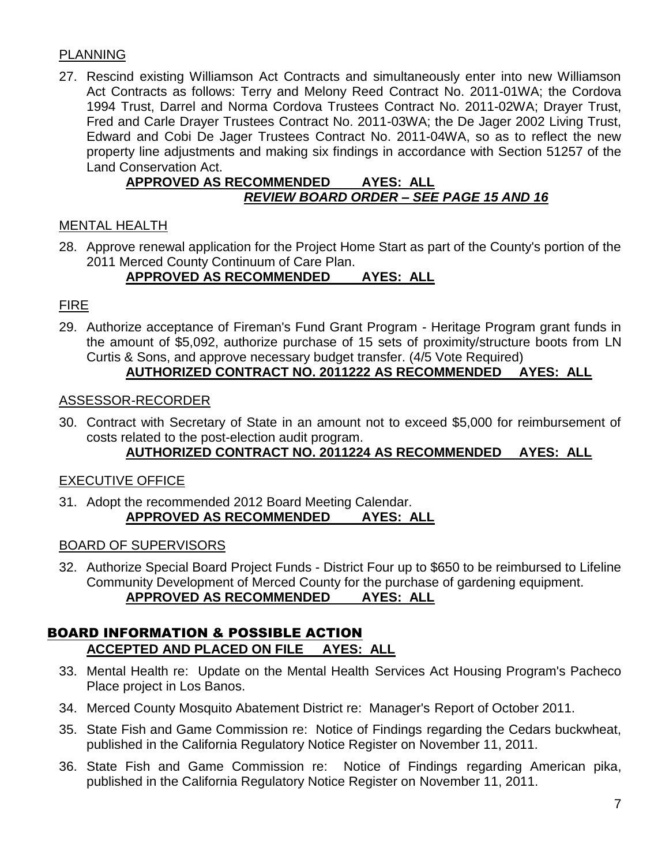# PLANNING

27. Rescind existing Williamson Act Contracts and simultaneously enter into new Williamson Act Contracts as follows: Terry and Melony Reed Contract No. 2011-01WA; the Cordova 1994 Trust, Darrel and Norma Cordova Trustees Contract No. 2011-02WA; Drayer Trust, Fred and Carle Drayer Trustees Contract No. 2011-03WA; the De Jager 2002 Living Trust, Edward and Cobi De Jager Trustees Contract No. 2011-04WA, so as to reflect the new property line adjustments and making six findings in accordance with Section 51257 of the Land Conservation Act.

# **APPROVED AS RECOMMENDED AYES: ALL** *REVIEW BOARD ORDER – SEE PAGE 15 AND 16*

# MENTAL HEALTH

28. Approve renewal application for the Project Home Start as part of the County's portion of the 2011 Merced County Continuum of Care Plan.

# **APPROVED AS RECOMMENDED AYES: ALL**

# FIRE

29. Authorize acceptance of Fireman's Fund Grant Program - Heritage Program grant funds in the amount of \$5,092, authorize purchase of 15 sets of proximity/structure boots from LN Curtis & Sons, and approve necessary budget transfer. (4/5 Vote Required)

# **AUTHORIZED CONTRACT NO. 2011222 AS RECOMMENDED AYES: ALL**

#### ASSESSOR-RECORDER

30. Contract with Secretary of State in an amount not to exceed \$5,000 for reimbursement of costs related to the post-election audit program.

# **AUTHORIZED CONTRACT NO. 2011224 AS RECOMMENDED AYES: ALL**

# EXECUTIVE OFFICE

31. Adopt the recommended 2012 Board Meeting Calendar. **APPROVED AS RECOMMENDED AYES: ALL**

# BOARD OF SUPERVISORS

32. Authorize Special Board Project Funds - District Four up to \$650 to be reimbursed to Lifeline Community Development of Merced County for the purchase of gardening equipment. **APPROVED AS RECOMMENDED AYES: ALL**

# BOARD INFORMATION & POSSIBLE ACTION **ACCEPTED AND PLACED ON FILE AYES: ALL**

- 33. Mental Health re: Update on the Mental Health Services Act Housing Program's Pacheco Place project in Los Banos.
- 34. Merced County Mosquito Abatement District re: Manager's Report of October 2011.
- 35. State Fish and Game Commission re: Notice of Findings regarding the Cedars buckwheat, published in the California Regulatory Notice Register on November 11, 2011.
- 36. State Fish and Game Commission re: Notice of Findings regarding American pika, published in the California Regulatory Notice Register on November 11, 2011.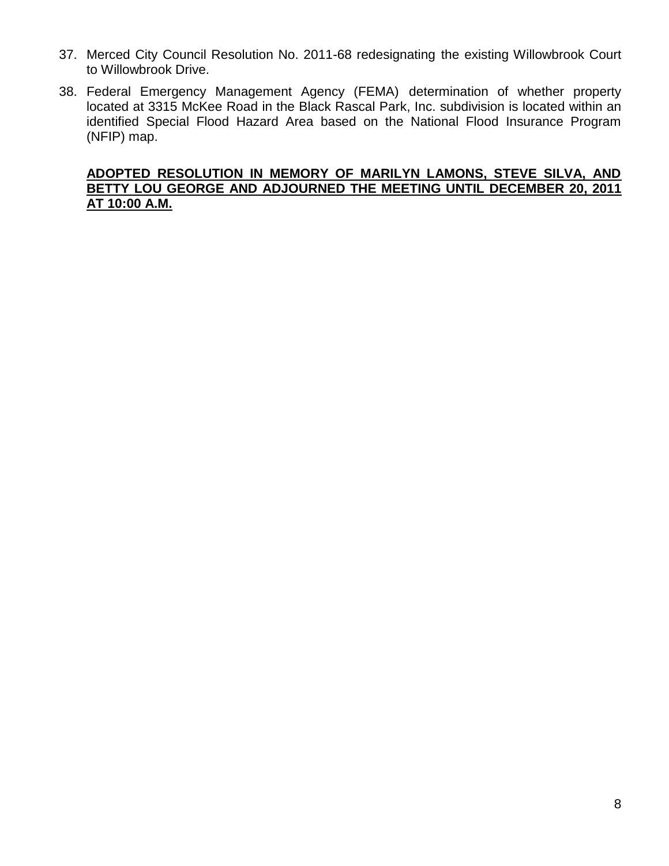- 37. Merced City Council Resolution No. 2011-68 redesignating the existing Willowbrook Court to Willowbrook Drive.
- 38. Federal Emergency Management Agency (FEMA) determination of whether property located at 3315 McKee Road in the Black Rascal Park, Inc. subdivision is located within an identified Special Flood Hazard Area based on the National Flood Insurance Program (NFIP) map.

# **ADOPTED RESOLUTION IN MEMORY OF MARILYN LAMONS, STEVE SILVA, AND BETTY LOU GEORGE AND ADJOURNED THE MEETING UNTIL DECEMBER 20, 2011 AT 10:00 A.M.**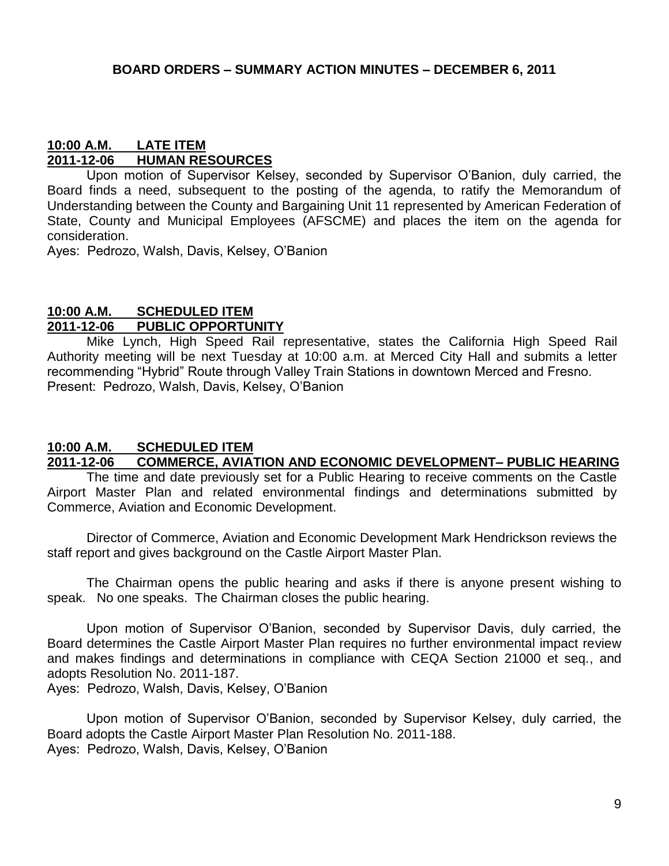#### **10:00 A.M. LATE ITEM 2011-12-06 HUMAN RESOURCES**

Upon motion of Supervisor Kelsey, seconded by Supervisor O'Banion, duly carried, the Board finds a need, subsequent to the posting of the agenda, to ratify the Memorandum of Understanding between the County and Bargaining Unit 11 represented by American Federation of State, County and Municipal Employees (AFSCME) and places the item on the agenda for consideration.

Ayes: Pedrozo, Walsh, Davis, Kelsey, O'Banion

# **10:00 A.M. SCHEDULED ITEM 2011-12-06 PUBLIC OPPORTUNITY**

Mike Lynch, High Speed Rail representative, states the California High Speed Rail Authority meeting will be next Tuesday at 10:00 a.m. at Merced City Hall and submits a letter recommending "Hybrid" Route through Valley Train Stations in downtown Merced and Fresno. Present: Pedrozo, Walsh, Davis, Kelsey, O'Banion

#### **10:00 A.M. SCHEDULED ITEM 2011-12-06 COMMERCE, AVIATION AND ECONOMIC DEVELOPMENT– PUBLIC HEARING**

The time and date previously set for a Public Hearing to receive comments on the Castle Airport Master Plan and related environmental findings and determinations submitted by Commerce, Aviation and Economic Development.

Director of Commerce, Aviation and Economic Development Mark Hendrickson reviews the staff report and gives background on the Castle Airport Master Plan.

The Chairman opens the public hearing and asks if there is anyone present wishing to speak. No one speaks. The Chairman closes the public hearing.

Upon motion of Supervisor O'Banion, seconded by Supervisor Davis, duly carried, the Board determines the Castle Airport Master Plan requires no further environmental impact review and makes findings and determinations in compliance with CEQA Section 21000 et seq., and adopts Resolution No. 2011-187.

Ayes: Pedrozo, Walsh, Davis, Kelsey, O'Banion

Upon motion of Supervisor O'Banion, seconded by Supervisor Kelsey, duly carried, the Board adopts the Castle Airport Master Plan Resolution No. 2011-188. Ayes: Pedrozo, Walsh, Davis, Kelsey, O'Banion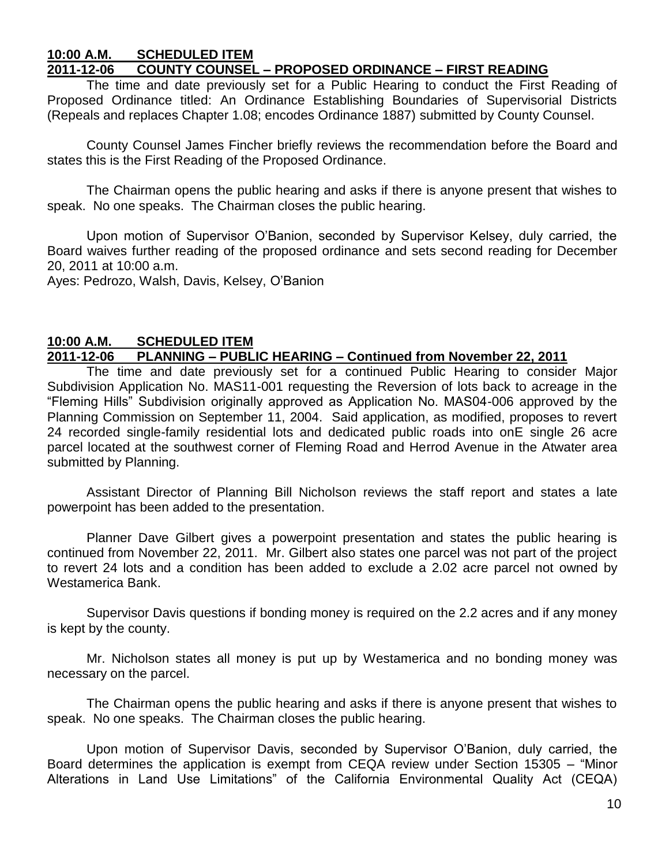#### **10:00 A.M. SCHEDULED ITEM 2011-12-06 COUNTY COUNSEL – PROPOSED ORDINANCE – FIRST READING**

The time and date previously set for a Public Hearing to conduct the First Reading of Proposed Ordinance titled: An Ordinance Establishing Boundaries of Supervisorial Districts (Repeals and replaces Chapter 1.08; encodes Ordinance 1887) submitted by County Counsel.

County Counsel James Fincher briefly reviews the recommendation before the Board and states this is the First Reading of the Proposed Ordinance.

The Chairman opens the public hearing and asks if there is anyone present that wishes to speak. No one speaks. The Chairman closes the public hearing.

Upon motion of Supervisor O'Banion, seconded by Supervisor Kelsey, duly carried, the Board waives further reading of the proposed ordinance and sets second reading for December 20, 2011 at 10:00 a.m.

Ayes: Pedrozo, Walsh, Davis, Kelsey, O'Banion

#### **10:00 A.M. SCHEDULED ITEM 2011-12-06 PLANNING – PUBLIC HEARING – Continued from November 22, 2011**

The time and date previously set for a continued Public Hearing to consider Major Subdivision Application No. MAS11-001 requesting the Reversion of lots back to acreage in the "Fleming Hills" Subdivision originally approved as Application No. MAS04-006 approved by the Planning Commission on September 11, 2004. Said application, as modified, proposes to revert 24 recorded single-family residential lots and dedicated public roads into onE single 26 acre parcel located at the southwest corner of Fleming Road and Herrod Avenue in the Atwater area submitted by Planning.

Assistant Director of Planning Bill Nicholson reviews the staff report and states a late powerpoint has been added to the presentation.

Planner Dave Gilbert gives a powerpoint presentation and states the public hearing is continued from November 22, 2011. Mr. Gilbert also states one parcel was not part of the project to revert 24 lots and a condition has been added to exclude a 2.02 acre parcel not owned by Westamerica Bank.

Supervisor Davis questions if bonding money is required on the 2.2 acres and if any money is kept by the county.

Mr. Nicholson states all money is put up by Westamerica and no bonding money was necessary on the parcel.

The Chairman opens the public hearing and asks if there is anyone present that wishes to speak. No one speaks. The Chairman closes the public hearing.

Upon motion of Supervisor Davis, seconded by Supervisor O'Banion, duly carried, the Board determines the application is exempt from CEQA review under Section 15305 – "Minor Alterations in Land Use Limitations" of the California Environmental Quality Act (CEQA)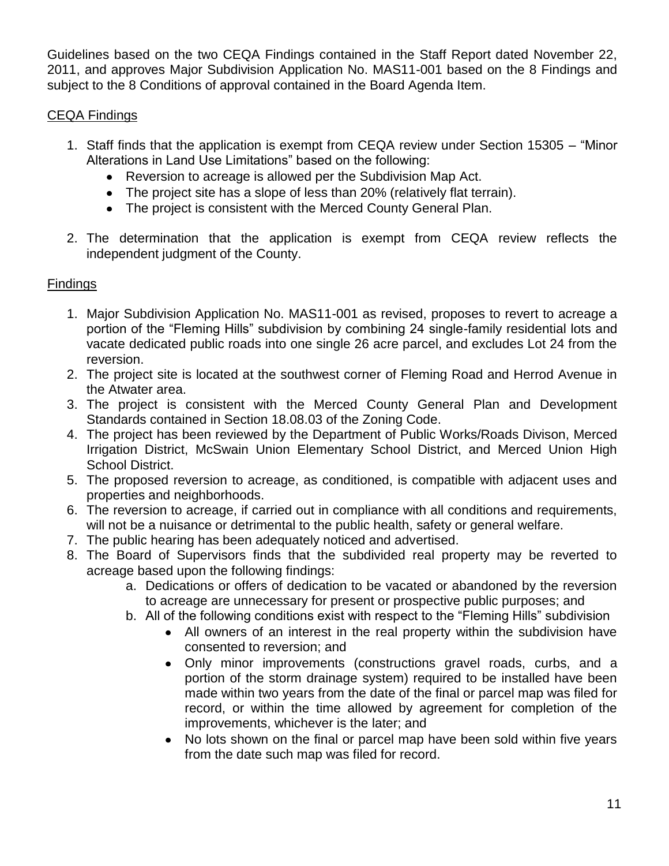Guidelines based on the two CEQA Findings contained in the Staff Report dated November 22, 2011, and approves Major Subdivision Application No. MAS11-001 based on the 8 Findings and subject to the 8 Conditions of approval contained in the Board Agenda Item.

# CEQA Findings

- 1. Staff finds that the application is exempt from CEQA review under Section 15305 "Minor Alterations in Land Use Limitations" based on the following:
	- Reversion to acreage is allowed per the Subdivision Map Act.
	- The project site has a slope of less than 20% (relatively flat terrain).
	- The project is consistent with the Merced County General Plan.
- 2. The determination that the application is exempt from CEQA review reflects the independent judgment of the County.

# Findings

- 1. Major Subdivision Application No. MAS11-001 as revised, proposes to revert to acreage a portion of the "Fleming Hills" subdivision by combining 24 single-family residential lots and vacate dedicated public roads into one single 26 acre parcel, and excludes Lot 24 from the reversion.
- 2. The project site is located at the southwest corner of Fleming Road and Herrod Avenue in the Atwater area.
- 3. The project is consistent with the Merced County General Plan and Development Standards contained in Section 18.08.03 of the Zoning Code.
- 4. The project has been reviewed by the Department of Public Works/Roads Divison, Merced Irrigation District, McSwain Union Elementary School District, and Merced Union High School District.
- 5. The proposed reversion to acreage, as conditioned, is compatible with adjacent uses and properties and neighborhoods.
- 6. The reversion to acreage, if carried out in compliance with all conditions and requirements, will not be a nuisance or detrimental to the public health, safety or general welfare.
- 7. The public hearing has been adequately noticed and advertised.
- 8. The Board of Supervisors finds that the subdivided real property may be reverted to acreage based upon the following findings:
	- a. Dedications or offers of dedication to be vacated or abandoned by the reversion to acreage are unnecessary for present or prospective public purposes; and
	- b. All of the following conditions exist with respect to the "Fleming Hills" subdivision
		- All owners of an interest in the real property within the subdivision have consented to reversion; and
		- Only minor improvements (constructions gravel roads, curbs, and a portion of the storm drainage system) required to be installed have been made within two years from the date of the final or parcel map was filed for record, or within the time allowed by agreement for completion of the improvements, whichever is the later; and
		- No lots shown on the final or parcel map have been sold within five years from the date such map was filed for record.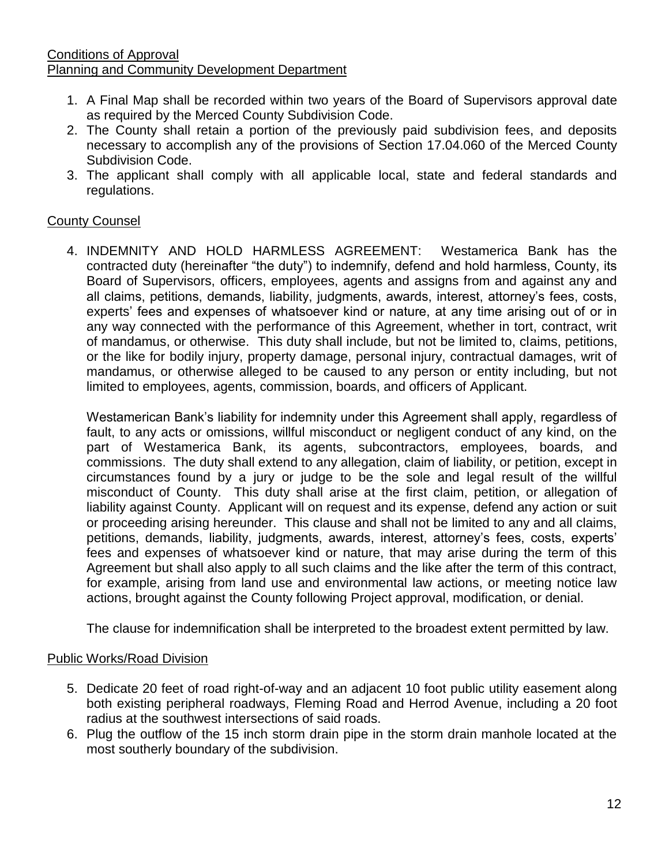#### Conditions of Approval Planning and Community Development Department

- 1. A Final Map shall be recorded within two years of the Board of Supervisors approval date as required by the Merced County Subdivision Code.
- 2. The County shall retain a portion of the previously paid subdivision fees, and deposits necessary to accomplish any of the provisions of Section 17.04.060 of the Merced County Subdivision Code.
- 3. The applicant shall comply with all applicable local, state and federal standards and regulations.

# County Counsel

4. INDEMNITY AND HOLD HARMLESS AGREEMENT: Westamerica Bank has the contracted duty (hereinafter "the duty") to indemnify, defend and hold harmless, County, its Board of Supervisors, officers, employees, agents and assigns from and against any and all claims, petitions, demands, liability, judgments, awards, interest, attorney's fees, costs, experts' fees and expenses of whatsoever kind or nature, at any time arising out of or in any way connected with the performance of this Agreement, whether in tort, contract, writ of mandamus, or otherwise. This duty shall include, but not be limited to, claims, petitions, or the like for bodily injury, property damage, personal injury, contractual damages, writ of mandamus, or otherwise alleged to be caused to any person or entity including, but not limited to employees, agents, commission, boards, and officers of Applicant.

Westamerican Bank's liability for indemnity under this Agreement shall apply, regardless of fault, to any acts or omissions, willful misconduct or negligent conduct of any kind, on the part of Westamerica Bank, its agents, subcontractors, employees, boards, and commissions. The duty shall extend to any allegation, claim of liability, or petition, except in circumstances found by a jury or judge to be the sole and legal result of the willful misconduct of County. This duty shall arise at the first claim, petition, or allegation of liability against County. Applicant will on request and its expense, defend any action or suit or proceeding arising hereunder. This clause and shall not be limited to any and all claims, petitions, demands, liability, judgments, awards, interest, attorney's fees, costs, experts' fees and expenses of whatsoever kind or nature, that may arise during the term of this Agreement but shall also apply to all such claims and the like after the term of this contract, for example, arising from land use and environmental law actions, or meeting notice law actions, brought against the County following Project approval, modification, or denial.

The clause for indemnification shall be interpreted to the broadest extent permitted by law.

#### Public Works/Road Division

- 5. Dedicate 20 feet of road right-of-way and an adjacent 10 foot public utility easement along both existing peripheral roadways, Fleming Road and Herrod Avenue, including a 20 foot radius at the southwest intersections of said roads.
- 6. Plug the outflow of the 15 inch storm drain pipe in the storm drain manhole located at the most southerly boundary of the subdivision.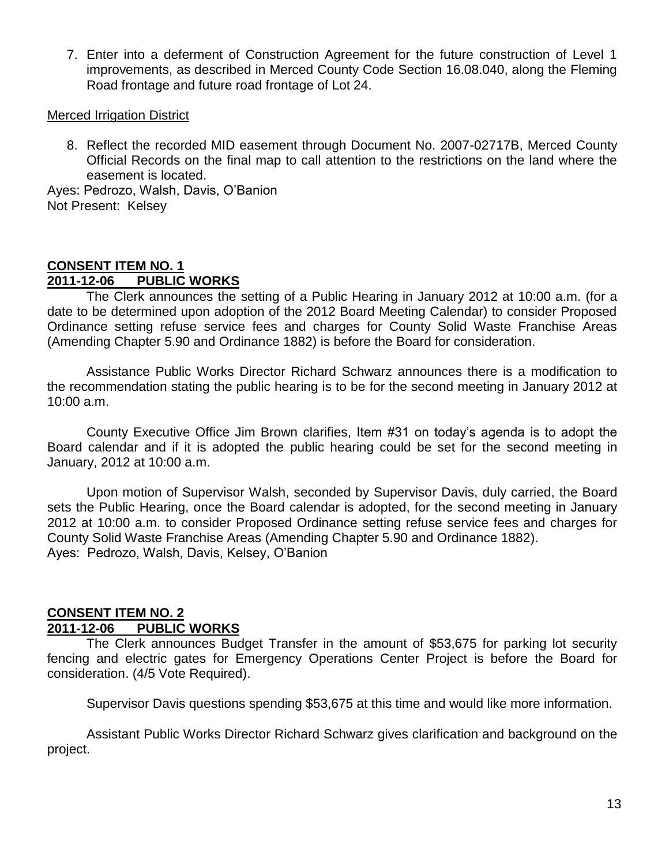7. Enter into a deferment of Construction Agreement for the future construction of Level 1 improvements, as described in Merced County Code Section 16.08.040, along the Fleming Road frontage and future road frontage of Lot 24.

#### Merced Irrigation District

8. Reflect the recorded MID easement through Document No. 2007-02717B, Merced County Official Records on the final map to call attention to the restrictions on the land where the easement is located.

Ayes: Pedrozo, Walsh, Davis, O'Banion Not Present: Kelsey

#### **CONSENT ITEM NO. 1 2011-12-06 PUBLIC WORKS**

The Clerk announces the setting of a Public Hearing in January 2012 at 10:00 a.m. (for a date to be determined upon adoption of the 2012 Board Meeting Calendar) to consider Proposed Ordinance setting refuse service fees and charges for County Solid Waste Franchise Areas (Amending Chapter 5.90 and Ordinance 1882) is before the Board for consideration.

Assistance Public Works Director Richard Schwarz announces there is a modification to the recommendation stating the public hearing is to be for the second meeting in January 2012 at 10:00 a.m.

County Executive Office Jim Brown clarifies, Item #31 on today's agenda is to adopt the Board calendar and if it is adopted the public hearing could be set for the second meeting in January, 2012 at 10:00 a.m.

Upon motion of Supervisor Walsh, seconded by Supervisor Davis, duly carried, the Board sets the Public Hearing, once the Board calendar is adopted, for the second meeting in January 2012 at 10:00 a.m. to consider Proposed Ordinance setting refuse service fees and charges for County Solid Waste Franchise Areas (Amending Chapter 5.90 and Ordinance 1882). Ayes: Pedrozo, Walsh, Davis, Kelsey, O'Banion

#### **CONSENT ITEM NO. 2 2011-12-06 PUBLIC WORKS**

The Clerk announces Budget Transfer in the amount of \$53,675 for parking lot security fencing and electric gates for Emergency Operations Center Project is before the Board for consideration. (4/5 Vote Required).

Supervisor Davis questions spending \$53,675 at this time and would like more information.

Assistant Public Works Director Richard Schwarz gives clarification and background on the project.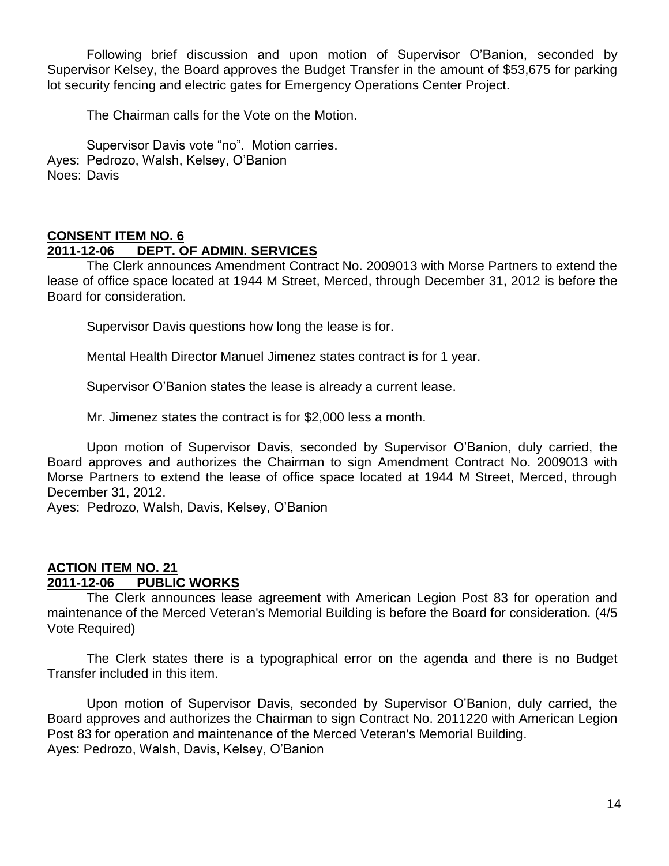Following brief discussion and upon motion of Supervisor O'Banion, seconded by Supervisor Kelsey, the Board approves the Budget Transfer in the amount of \$53,675 for parking lot security fencing and electric gates for Emergency Operations Center Project.

The Chairman calls for the Vote on the Motion.

Supervisor Davis vote "no". Motion carries. Ayes: Pedrozo, Walsh, Kelsey, O'Banion Noes: Davis

#### **CONSENT ITEM NO. 6**

#### **2011-12-06 DEPT. OF ADMIN. SERVICES**

The Clerk announces Amendment Contract No. 2009013 with Morse Partners to extend the lease of office space located at 1944 M Street, Merced, through December 31, 2012 is before the Board for consideration.

Supervisor Davis questions how long the lease is for.

Mental Health Director Manuel Jimenez states contract is for 1 year.

Supervisor O'Banion states the lease is already a current lease.

Mr. Jimenez states the contract is for \$2,000 less a month.

Upon motion of Supervisor Davis, seconded by Supervisor O'Banion, duly carried, the Board approves and authorizes the Chairman to sign Amendment Contract No. 2009013 with Morse Partners to extend the lease of office space located at 1944 M Street, Merced, through December 31, 2012.

Ayes: Pedrozo, Walsh, Davis, Kelsey, O'Banion

### **ACTION ITEM NO. 21 2011-12-06 PUBLIC WORKS**

The Clerk announces lease agreement with American Legion Post 83 for operation and maintenance of the Merced Veteran's Memorial Building is before the Board for consideration. (4/5 Vote Required)

The Clerk states there is a typographical error on the agenda and there is no Budget Transfer included in this item.

Upon motion of Supervisor Davis, seconded by Supervisor O'Banion, duly carried, the Board approves and authorizes the Chairman to sign Contract No. 2011220 with American Legion Post 83 for operation and maintenance of the Merced Veteran's Memorial Building. Ayes: Pedrozo, Walsh, Davis, Kelsey, O'Banion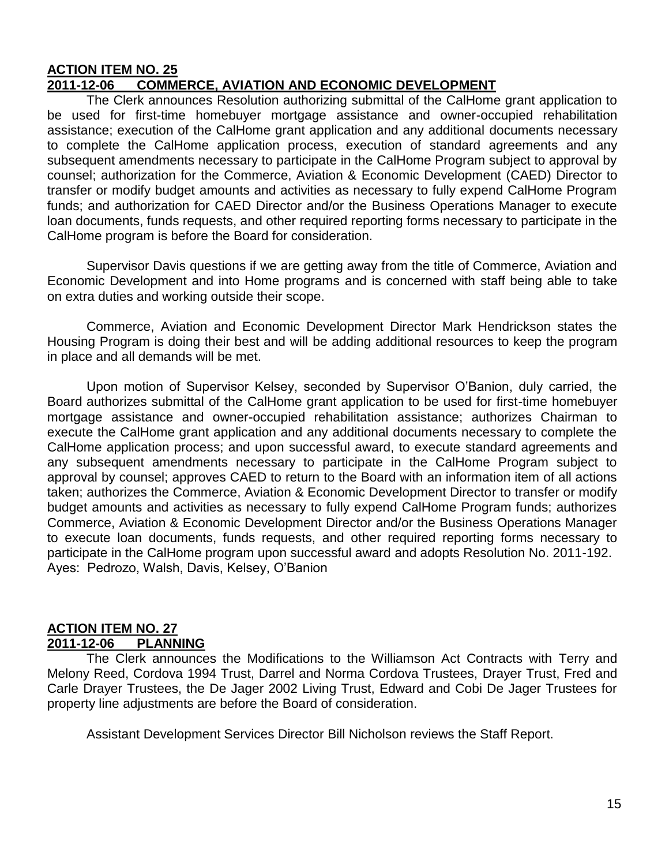#### **ACTION ITEM NO. 25 2011-12-06 COMMERCE, AVIATION AND ECONOMIC DEVELOPMENT**

The Clerk announces Resolution authorizing submittal of the CalHome grant application to be used for first-time homebuyer mortgage assistance and owner-occupied rehabilitation assistance; execution of the CalHome grant application and any additional documents necessary to complete the CalHome application process, execution of standard agreements and any subsequent amendments necessary to participate in the CalHome Program subject to approval by counsel; authorization for the Commerce, Aviation & Economic Development (CAED) Director to transfer or modify budget amounts and activities as necessary to fully expend CalHome Program funds; and authorization for CAED Director and/or the Business Operations Manager to execute loan documents, funds requests, and other required reporting forms necessary to participate in the CalHome program is before the Board for consideration.

Supervisor Davis questions if we are getting away from the title of Commerce, Aviation and Economic Development and into Home programs and is concerned with staff being able to take on extra duties and working outside their scope.

Commerce, Aviation and Economic Development Director Mark Hendrickson states the Housing Program is doing their best and will be adding additional resources to keep the program in place and all demands will be met.

Upon motion of Supervisor Kelsey, seconded by Supervisor O'Banion, duly carried, the Board authorizes submittal of the CalHome grant application to be used for first-time homebuyer mortgage assistance and owner-occupied rehabilitation assistance; authorizes Chairman to execute the CalHome grant application and any additional documents necessary to complete the CalHome application process; and upon successful award, to execute standard agreements and any subsequent amendments necessary to participate in the CalHome Program subject to approval by counsel; approves CAED to return to the Board with an information item of all actions taken; authorizes the Commerce, Aviation & Economic Development Director to transfer or modify budget amounts and activities as necessary to fully expend CalHome Program funds; authorizes Commerce, Aviation & Economic Development Director and/or the Business Operations Manager to execute loan documents, funds requests, and other required reporting forms necessary to participate in the CalHome program upon successful award and adopts Resolution No. 2011-192. Ayes: Pedrozo, Walsh, Davis, Kelsey, O'Banion

### **ACTION ITEM NO. 27 2011-12-06 PLANNING**

The Clerk announces the Modifications to the Williamson Act Contracts with Terry and Melony Reed, Cordova 1994 Trust, Darrel and Norma Cordova Trustees, Drayer Trust, Fred and Carle Drayer Trustees, the De Jager 2002 Living Trust, Edward and Cobi De Jager Trustees for property line adjustments are before the Board of consideration.

Assistant Development Services Director Bill Nicholson reviews the Staff Report.